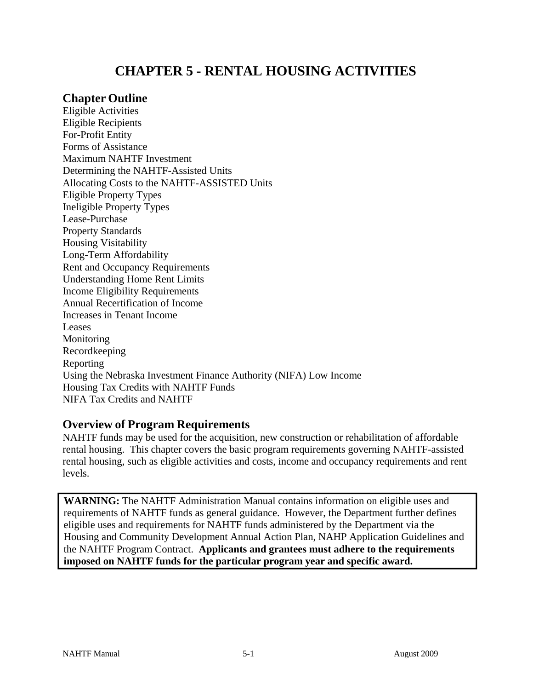# **CHAPTER 5 - RENTAL HOUSING ACTIVITIES**

### **Chapter Outline**

Eligible Activities Eligible Recipients For-Profit Entity Forms of Assistance Maximum NAHTF Investment Determining the NAHTF-Assisted Units Allocating Costs to the NAHTF-ASSISTED Units Eligible Property Types Ineligible Property Types Lease-Purchase Property Standards Housing Visitability Long-Term Affordability Rent and Occupancy Requirements Understanding Home Rent Limits Income Eligibility Requirements Annual Recertification of Income Increases in Tenant Income Leases Monitoring Recordkeeping Reporting Using the Nebraska Investment Finance Authority (NIFA) Low Income Housing Tax Credits with NAHTF Funds NIFA Tax Credits and NAHTF

### **Overview of Program Requirements**

NAHTF funds may be used for the acquisition, new construction or rehabilitation of affordable rental housing. This chapter covers the basic program requirements governing NAHTF-assisted rental housing, such as eligible activities and costs, income and occupancy requirements and rent levels.

**WARNING:** The NAHTF Administration Manual contains information on eligible uses and requirements of NAHTF funds as general guidance. However, the Department further defines eligible uses and requirements for NAHTF funds administered by the Department via the Housing and Community Development Annual Action Plan, NAHP Application Guidelines and the NAHTF Program Contract. **Applicants and grantees must adhere to the requirements imposed on NAHTF funds for the particular program year and specific award.**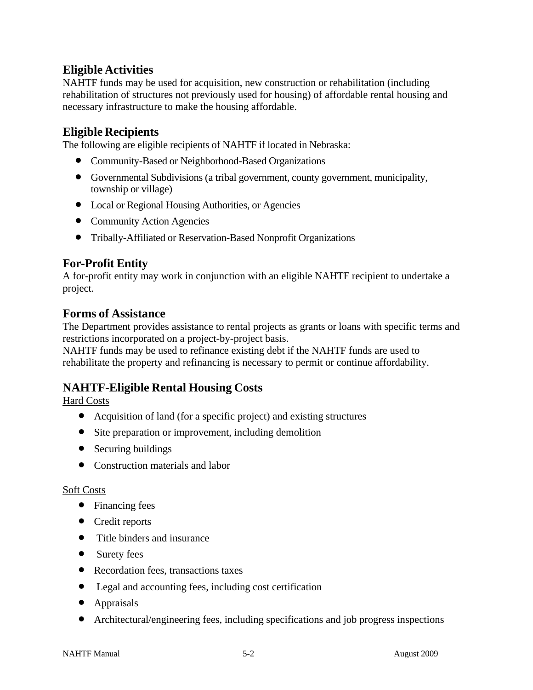## **Eligible Activities**

NAHTF funds may be used for acquisition, new construction or rehabilitation (including rehabilitation of structures not previously used for housing) of affordable rental housing and necessary infrastructure to make the housing affordable.

### **Eligible Recipients**

The following are eligible recipients of NAHTF if located in Nebraska:

- Community-Based or Neighborhood-Based Organizations
- Governmental Subdivisions (a tribal government, county government, municipality, township or village)
- Local or Regional Housing Authorities, or Agencies
- Community Action Agencies
- Tribally-Affiliated or Reservation-Based Nonprofit Organizations

## **For-Profit Entity**

A for-profit entity may work in conjunction with an eligible NAHTF recipient to undertake a project.

### **Forms of Assistance**

The Department provides assistance to rental projects as grants or loans with specific terms and restrictions incorporated on a project-by-project basis.

NAHTF funds may be used to refinance existing debt if the NAHTF funds are used to rehabilitate the property and refinancing is necessary to permit or continue affordability.

## **NAHTF-Eligible Rental Housing Costs**

Hard Costs

- Acquisition of land (for a specific project) and existing structures
- Site preparation or improvement, including demolition
- Securing buildings
- Construction materials and labor

#### Soft Costs

- Financing fees
- Credit reports
- Title binders and insurance
- Surety fees
- Recordation fees, transactions taxes
- Legal and accounting fees, including cost certification
- Appraisals
- Architectural/engineering fees, including specifications and job progress inspections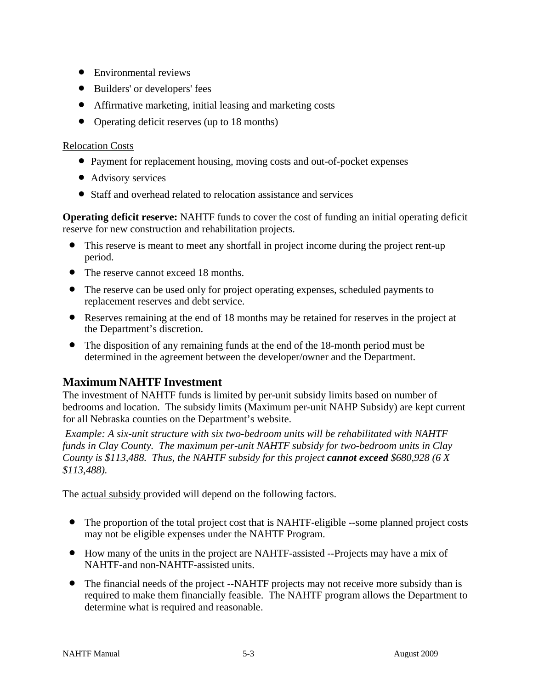- Environmental reviews
- Builders' or developers' fees
- Affirmative marketing, initial leasing and marketing costs
- Operating deficit reserves (up to 18 months)

#### Relocation Costs

- Payment for replacement housing, moving costs and out-of-pocket expenses
- Advisory services
- Staff and overhead related to relocation assistance and services

**Operating deficit reserve:** NAHTF funds to cover the cost of funding an initial operating deficit reserve for new construction and rehabilitation projects.

- This reserve is meant to meet any shortfall in project income during the project rent-up period.
- The reserve cannot exceed 18 months.
- The reserve can be used only for project operating expenses, scheduled payments to replacement reserves and debt service.
- Reserves remaining at the end of 18 months may be retained for reserves in the project at the Department's discretion.
- The disposition of any remaining funds at the end of the 18-month period must be determined in the agreement between the developer/owner and the Department.

## **Maximum NAHTF Investment**

The investment of NAHTF funds is limited by per-unit subsidy limits based on number of bedrooms and location. The subsidy limits (Maximum per-unit NAHP Subsidy) are kept current for all Nebraska counties on the Department's website.

*Example: A six-unit structure with six two-bedroom units will be rehabilitated with NAHTF funds in Clay County. The maximum per-unit NAHTF subsidy for two-bedroom units in Clay County is \$113,488. Thus, the NAHTF subsidy for this project cannot exceed \$680,928 (6 X \$113,488).*

The actual subsidy provided will depend on the following factors.

- The proportion of the total project cost that is NAHTF-eligible --some planned project costs may not be eligible expenses under the NAHTF Program.
- How many of the units in the project are NAHTF-assisted --Projects may have a mix of NAHTF-and non-NAHTF-assisted units.
- The financial needs of the project --NAHTF projects may not receive more subsidy than is required to make them financially feasible. The NAHTF program allows the Department to determine what is required and reasonable.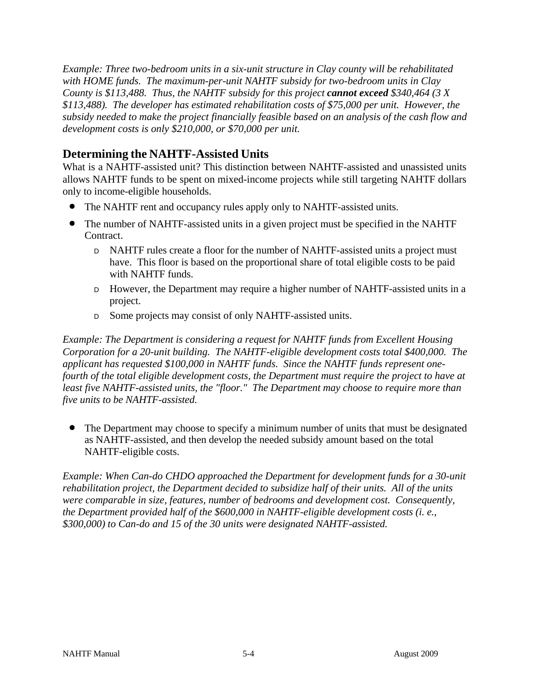*Example: Three two-bedroom units in a six-unit structure in Clay county will be rehabilitated with HOME funds. The maximum-per-unit NAHTF subsidy for two-bedroom units in Clay County is \$113,488. Thus, the NAHTF subsidy for this project cannot exceed \$340,464 (3 X \$113,488). The developer has estimated rehabilitation costs of \$75,000 per unit. However, the subsidy needed to make the project financially feasible based on an analysis of the cash flow and development costs is only \$210,000, or \$70,000 per unit.*

## **Determining the NAHTF-Assisted Units**

What is a NAHTF-assisted unit? This distinction between NAHTF-assisted and unassisted units allows NAHTF funds to be spent on mixed-income projects while still targeting NAHTF dollars only to income-eligible households.

- The NAHTF rent and occupancy rules apply only to NAHTF-assisted units.
- The number of NAHTF-assisted units in a given project must be specified in the NAHTF Contract.
	- <sup>D</sup>NAHTF rules create a floor for the number of NAHTF-assisted units a project must have. This floor is based on the proportional share of total eligible costs to be paid with NAHTF funds.
	- <sup>D</sup>However, the Department may require a higher number of NAHTF-assisted units in a project.
	- D Some projects may consist of only NAHTF-assisted units.

*Example: The Department is considering a request for NAHTF funds from Excellent Housing Corporation for a 20-unit building. The NAHTF-eligible development costs total \$400,000. The applicant has requested \$100,000 in NAHTF funds. Since the NAHTF funds represent onefourth of the total eligible development costs, the Department must require the project to have at least five NAHTF-assisted units, the "floor." The Department may choose to require more than five units to be NAHTF-assisted.*

• The Department may choose to specify a minimum number of units that must be designated as NAHTF-assisted, and then develop the needed subsidy amount based on the total NAHTF-eligible costs.

*Example: When Can-do CHDO approached the Department for development funds for a 30-unit rehabilitation project, the Department decided to subsidize half of their units. All of the units were comparable in size, features, number of bedrooms and development cost. Consequently, the Department provided half of the \$600,000 in NAHTF-eligible development costs (i. e., \$300,000) to Can-do and 15 of the 30 units were designated NAHTF-assisted.*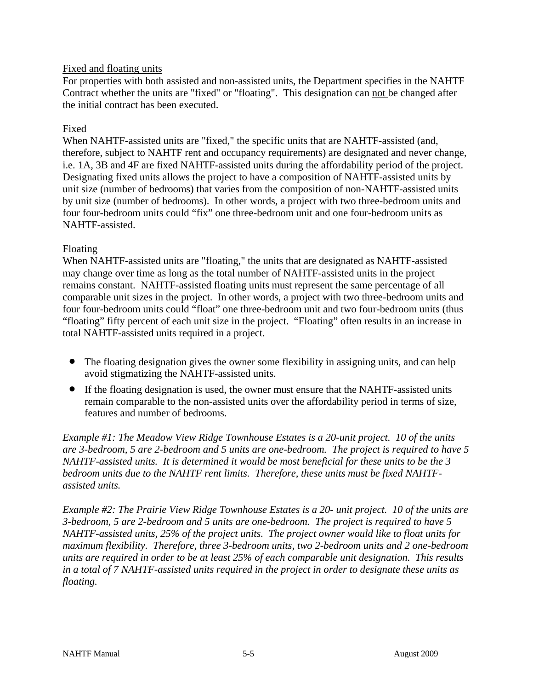#### Fixed and floating units

For properties with both assisted and non-assisted units, the Department specifies in the NAHTF Contract whether the units are "fixed" or "floating". This designation can not be changed after the initial contract has been executed.

#### Fixed

When NAHTF-assisted units are "fixed," the specific units that are NAHTF-assisted (and, therefore, subject to NAHTF rent and occupancy requirements) are designated and never change, i.e. 1A, 3B and 4F are fixed NAHTF-assisted units during the affordability period of the project. Designating fixed units allows the project to have a composition of NAHTF-assisted units by unit size (number of bedrooms) that varies from the composition of non-NAHTF-assisted units by unit size (number of bedrooms). In other words, a project with two three-bedroom units and four four-bedroom units could "fix" one three-bedroom unit and one four-bedroom units as NAHTF-assisted.

#### Floating

When NAHTF-assisted units are "floating," the units that are designated as NAHTF-assisted may change over time as long as the total number of NAHTF-assisted units in the project remains constant. NAHTF-assisted floating units must represent the same percentage of all comparable unit sizes in the project. In other words, a project with two three-bedroom units and four four-bedroom units could "float" one three-bedroom unit and two four-bedroom units (thus "floating" fifty percent of each unit size in the project. "Floating" often results in an increase in total NAHTF-assisted units required in a project.

- The floating designation gives the owner some flexibility in assigning units, and can help avoid stigmatizing the NAHTF-assisted units.
- If the floating designation is used, the owner must ensure that the NAHTF-assisted units remain comparable to the non-assisted units over the affordability period in terms of size, features and number of bedrooms.

*Example #1: The Meadow View Ridge Townhouse Estates is a 20-unit project. 10 of the units are 3-bedroom, 5 are 2-bedroom and 5 units are one-bedroom. The project is required to have 5 NAHTF-assisted units. It is determined it would be most beneficial for these units to be the 3 bedroom units due to the NAHTF rent limits. Therefore, these units must be fixed NAHTFassisted units.*

*Example #2: The Prairie View Ridge Townhouse Estates is a 20- unit project. 10 of the units are 3-bedroom, 5 are 2-bedroom and 5 units are one-bedroom. The project is required to have 5 NAHTF-assisted units, 25% of the project units. The project owner would like to float units for maximum flexibility. Therefore, three 3-bedroom units, two 2-bedroom units and 2 one-bedroom units are required in order to be at least 25% of each comparable unit designation. This results in a total of 7 NAHTF-assisted units required in the project in order to designate these units as floating.*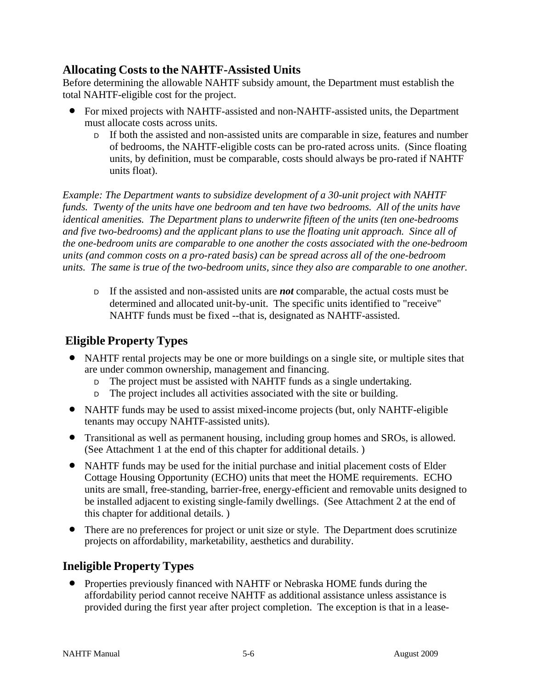## **Allocating Costs to the NAHTF-Assisted Units**

Before determining the allowable NAHTF subsidy amount, the Department must establish the total NAHTF-eligible cost for the project.

- For mixed projects with NAHTF-assisted and non-NAHTF-assisted units, the Department must allocate costs across units.
	- <sup>D</sup>If both the assisted and non-assisted units are comparable in size, features and number of bedrooms, the NAHTF-eligible costs can be pro-rated across units. (Since floating units, by definition, must be comparable, costs should always be pro-rated if NAHTF units float).

*Example: The Department wants to subsidize development of a 30-unit project with NAHTF funds. Twenty of the units have one bedroom and ten have two bedrooms. All of the units have identical amenities. The Department plans to underwrite fifteen of the units (ten one-bedrooms and five two-bedrooms) and the applicant plans to use the floating unit approach. Since all of the one-bedroom units are comparable to one another the costs associated with the one-bedroom units (and common costs on a pro-rated basis) can be spread across all of the one-bedroom units. The same is true of the two-bedroom units, since they also are comparable to one another.*

<sup>D</sup>If the assisted and non-assisted units are *not* comparable, the actual costs must be determined and allocated unit-by-unit. The specific units identified to "receive" NAHTF funds must be fixed --that is, designated as NAHTF-assisted.

# **Eligible Property Types**

- NAHTF rental projects may be one or more buildings on a single site, or multiple sites that are under common ownership, management and financing.
	- D The project must be assisted with NAHTF funds as a single undertaking.
	- D The project includes all activities associated with the site or building.
- NAHTF funds may be used to assist mixed-income projects (but, only NAHTF-eligible tenants may occupy NAHTF-assisted units).
- Transitional as well as permanent housing, including group homes and SROs, is allowed. (See Attachment 1 at the end of this chapter for additional details. )
- NAHTF funds may be used for the initial purchase and initial placement costs of Elder Cottage Housing Opportunity (ECHO) units that meet the HOME requirements. ECHO units are small, free-standing, barrier-free, energy-efficient and removable units designed to be installed adjacent to existing single-family dwellings. (See Attachment 2 at the end of this chapter for additional details. )
- There are no preferences for project or unit size or style. The Department does scrutinize projects on affordability, marketability, aesthetics and durability.

# **Ineligible Property Types**

• Properties previously financed with NAHTF or Nebraska HOME funds during the affordability period cannot receive NAHTF as additional assistance unless assistance is provided during the first year after project completion. The exception is that in a lease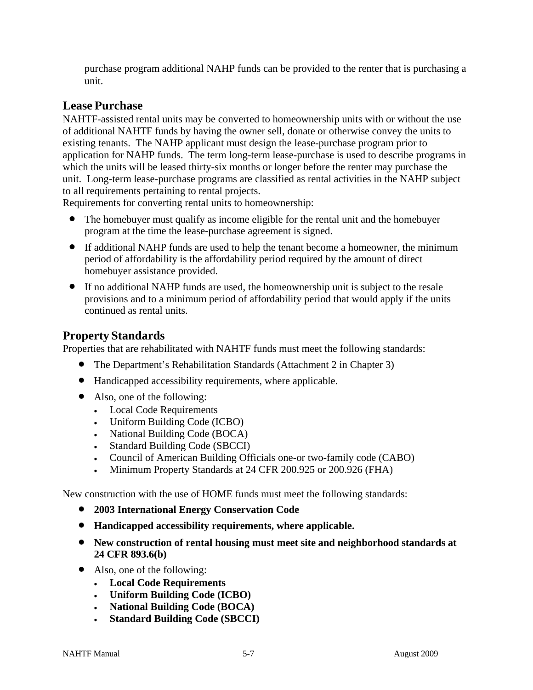purchase program additional NAHP funds can be provided to the renter that is purchasing a unit.

## **Lease Purchase**

NAHTF-assisted rental units may be converted to homeownership units with or without the use of additional NAHTF funds by having the owner sell, donate or otherwise convey the units to existing tenants. The NAHP applicant must design the lease-purchase program prior to application for NAHP funds. The term long-term lease-purchase is used to describe programs in which the units will be leased thirty-six months or longer before the renter may purchase the unit. Long-term lease-purchase programs are classified as rental activities in the NAHP subject to all requirements pertaining to rental projects.

Requirements for converting rental units to homeownership:

- The homebuyer must qualify as income eligible for the rental unit and the homebuyer program at the time the lease-purchase agreement is signed.
- If additional NAHP funds are used to help the tenant become a homeowner, the minimum period of affordability is the affordability period required by the amount of direct homebuyer assistance provided.
- If no additional NAHP funds are used, the homeownership unit is subject to the resale provisions and to a minimum period of affordability period that would apply if the units continued as rental units.

## **Property Standards**

Properties that are rehabilitated with NAHTF funds must meet the following standards:

- The Department's Rehabilitation Standards (Attachment 2 in Chapter 3)
- Handicapped accessibility requirements, where applicable.
- Also, one of the following:
	- Local Code Requirements
	- Uniform Building Code (ICBO)
	- National Building Code (BOCA)
	- Standard Building Code (SBCCI)
	- Council of American Building Officials one-or two-family code (CABO)
	- Minimum Property Standards at 24 CFR 200.925 or 200.926 (FHA)

New construction with the use of HOME funds must meet the following standards:

- **2003 International Energy Conservation Code**
- **Handicapped accessibility requirements, where applicable.**
- **New construction of rental housing must meet site and neighborhood standards at 24 CFR 893.6(b)**
- Also, one of the following:
	- **Local Code Requirements**
	- **Uniform Building Code (ICBO)**
	- **National Building Code (BOCA)**
	- **Standard Building Code (SBCCI)**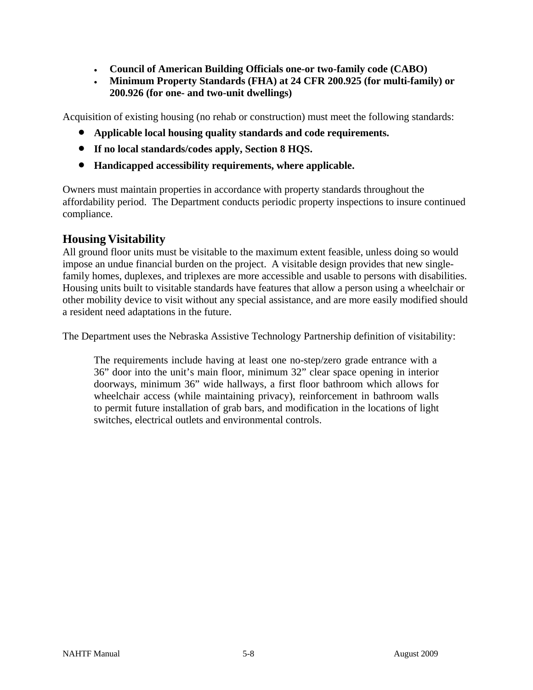- **Council of American Building Officials one-or two-family code (CABO)**
- **Minimum Property Standards (FHA) at 24 CFR 200.925 (for multi-family) or 200.926 (for one- and two-unit dwellings)**

Acquisition of existing housing (no rehab or construction) must meet the following standards:

- **Applicable local housing quality standards and code requirements.**
- **If no local standards/codes apply, Section 8 HQS.**
- **Handicapped accessibility requirements, where applicable.**

Owners must maintain properties in accordance with property standards throughout the affordability period. The Department conducts periodic property inspections to insure continued compliance.

## **Housing Visitability**

All ground floor units must be visitable to the maximum extent feasible, unless doing so would impose an undue financial burden on the project. A visitable design provides that new singlefamily homes, duplexes, and triplexes are more accessible and usable to persons with disabilities. Housing units built to visitable standards have features that allow a person using a wheelchair or other mobility device to visit without any special assistance, and are more easily modified should a resident need adaptations in the future.

The Department uses the Nebraska Assistive Technology Partnership definition of visitability:

The requirements include having at least one no-step/zero grade entrance with a 36" door into the unit's main floor, minimum 32" clear space opening in interior doorways, minimum 36" wide hallways, a first floor bathroom which allows for wheelchair access (while maintaining privacy), reinforcement in bathroom walls to permit future installation of grab bars, and modification in the locations of light switches, electrical outlets and environmental controls.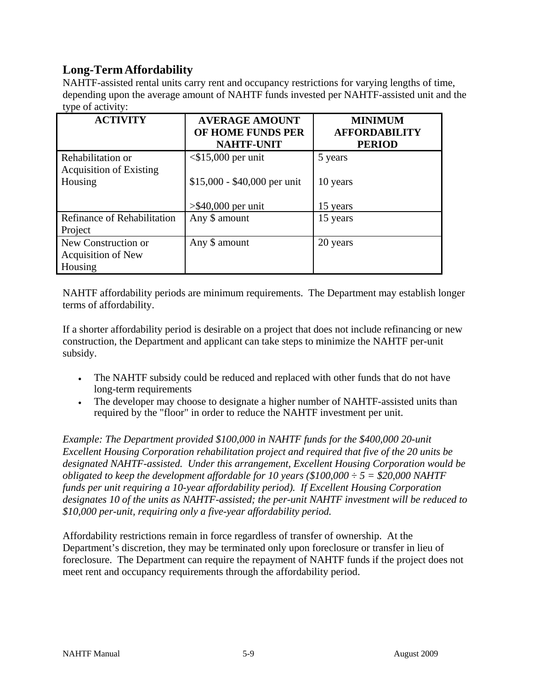## **Long-Term Affordability**

NAHTF-assisted rental units carry rent and occupancy restrictions for varying lengths of time, depending upon the average amount of NAHTF funds invested per NAHTF-assisted unit and the type of activity:

| <b>ACTIVITY</b>                                     | <b>AVERAGE AMOUNT</b><br>OF HOME FUNDS PER | <b>MINIMUM</b><br><b>AFFORDABILITY</b> |
|-----------------------------------------------------|--------------------------------------------|----------------------------------------|
|                                                     | <b>NAHTF-UNIT</b>                          | <b>PERIOD</b>                          |
| Rehabilitation or<br><b>Acquisition of Existing</b> | $<$ \$15,000 per unit                      | 5 years                                |
| Housing                                             | $$15,000 - $40,000$ per unit               | 10 years                               |
|                                                     | $>$ \$40,000 per unit                      | 15 years                               |
| Refinance of Rehabilitation                         | Any \$ amount                              | 15 years                               |
| Project                                             |                                            |                                        |
| New Construction or                                 | Any \$ amount                              | 20 years                               |
| <b>Acquisition of New</b>                           |                                            |                                        |
| Housing                                             |                                            |                                        |

NAHTF affordability periods are minimum requirements. The Department may establish longer terms of affordability.

If a shorter affordability period is desirable on a project that does not include refinancing or new construction, the Department and applicant can take steps to minimize the NAHTF per-unit subsidy.

- The NAHTF subsidy could be reduced and replaced with other funds that do not have long-term requirements
- The developer may choose to designate a higher number of NAHTF-assisted units than required by the "floor" in order to reduce the NAHTF investment per unit.

*Example: The Department provided \$100,000 in NAHTF funds for the \$400,000 20-unit Excellent Housing Corporation rehabilitation project and required that five of the 20 units be designated NAHTF-assisted. Under this arrangement, Excellent Housing Corporation would be obligated to keep the development affordable for 10 years (\$100,000*  $\div$  *5 = \$20,000 NAHTF funds per unit requiring a 10-year affordability period). If Excellent Housing Corporation designates 10 of the units as NAHTF-assisted; the per-unit NAHTF investment will be reduced to \$10,000 per-unit, requiring only a five-year affordability period.*

Affordability restrictions remain in force regardless of transfer of ownership. At the Department's discretion, they may be terminated only upon foreclosure or transfer in lieu of foreclosure. The Department can require the repayment of NAHTF funds if the project does not meet rent and occupancy requirements through the affordability period.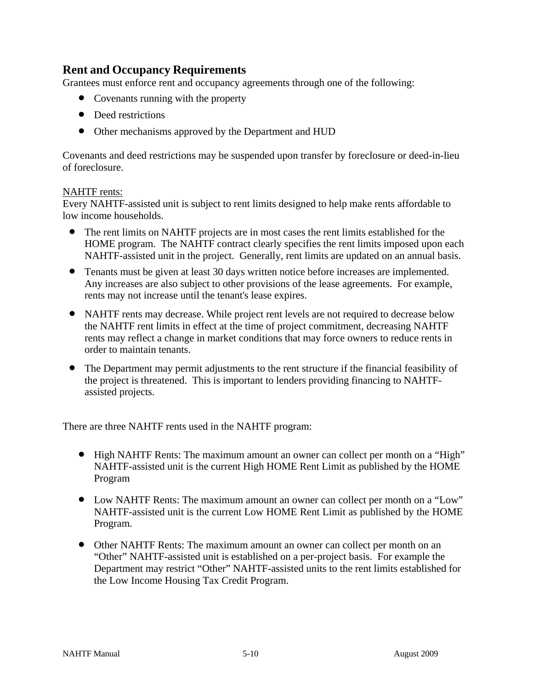## **Rent and Occupancy Requirements**

Grantees must enforce rent and occupancy agreements through one of the following:

- Covenants running with the property
- Deed restrictions
- Other mechanisms approved by the Department and HUD

Covenants and deed restrictions may be suspended upon transfer by foreclosure or deed-in-lieu of foreclosure.

#### NAHTF rents:

Every NAHTF-assisted unit is subject to rent limits designed to help make rents affordable to low income households.

- The rent limits on NAHTF projects are in most cases the rent limits established for the HOME program. The NAHTF contract clearly specifies the rent limits imposed upon each NAHTF-assisted unit in the project. Generally, rent limits are updated on an annual basis.
- Tenants must be given at least 30 days written notice before increases are implemented. Any increases are also subject to other provisions of the lease agreements. For example, rents may not increase until the tenant's lease expires.
- NAHTF rents may decrease. While project rent levels are not required to decrease below the NAHTF rent limits in effect at the time of project commitment, decreasing NAHTF rents may reflect a change in market conditions that may force owners to reduce rents in order to maintain tenants.
- The Department may permit adjustments to the rent structure if the financial feasibility of the project is threatened. This is important to lenders providing financing to NAHTFassisted projects.

There are three NAHTF rents used in the NAHTF program:

- High NAHTF Rents: The maximum amount an owner can collect per month on a "High" NAHTF-assisted unit is the current High HOME Rent Limit as published by the HOME Program
- Low NAHTF Rents: The maximum amount an owner can collect per month on a "Low" NAHTF-assisted unit is the current Low HOME Rent Limit as published by the HOME Program.
- Other NAHTF Rents: The maximum amount an owner can collect per month on an "Other" NAHTF-assisted unit is established on a per-project basis. For example the Department may restrict "Other" NAHTF-assisted units to the rent limits established for the Low Income Housing Tax Credit Program.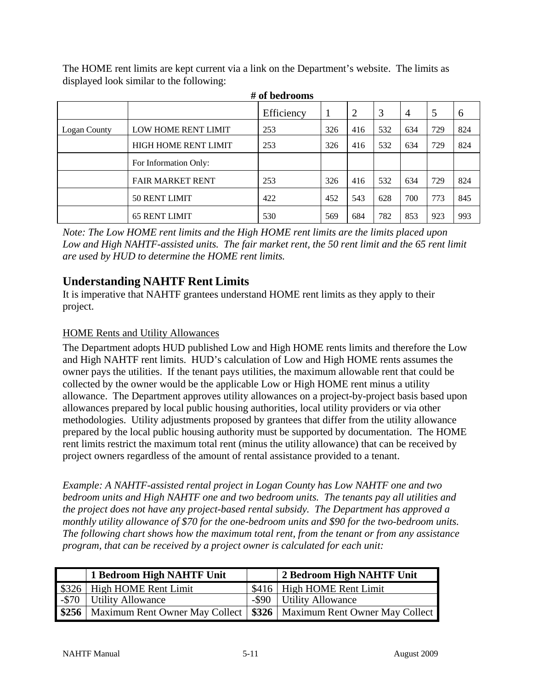The HOME rent limits are kept current via a link on the Department's website. The limits as displayed look similar to the following:

|              |                             | Efficiency |     | $\overline{2}$ |     | 4   |     | $\mathfrak b$ |
|--------------|-----------------------------|------------|-----|----------------|-----|-----|-----|---------------|
| Logan County | LOW HOME RENT LIMIT         | 253        | 326 | 416            | 532 | 634 | 729 | 824           |
|              | <b>HIGH HOME RENT LIMIT</b> | 253        | 326 | 416            | 532 | 634 | 729 | 824           |
|              | For Information Only:       |            |     |                |     |     |     |               |
|              | <b>FAIR MARKET RENT</b>     | 253        | 326 | 416            | 532 | 634 | 729 | 824           |
|              | 50 RENT LIMIT               | 422        | 452 | 543            | 628 | 700 | 773 | 845           |
|              | <b>65 RENT LIMIT</b>        | 530        | 569 | 684            | 782 | 853 | 923 | 993           |

**# of bedrooms**

*Note: The Low HOME rent limits and the High HOME rent limits are the limits placed upon Low and High NAHTF-assisted units. The fair market rent, the 50 rent limit and the 65 rent limit are used by HUD to determine the HOME rent limits.*

## **Understanding NAHTF Rent Limits**

It is imperative that NAHTF grantees understand HOME rent limits as they apply to their project.

### HOME Rents and Utility Allowances

The Department adopts HUD published Low and High HOME rents limits and therefore the Low and High NAHTF rent limits. HUD's calculation of Low and High HOME rents assumes the owner pays the utilities. If the tenant pays utilities, the maximum allowable rent that could be collected by the owner would be the applicable Low or High HOME rent minus a utility allowance. The Department approves utility allowances on a project-by-project basis based upon allowances prepared by local public housing authorities, local utility providers or via other methodologies. Utility adjustments proposed by grantees that differ from the utility allowance prepared by the local public housing authority must be supported by documentation. The HOME rent limits restrict the maximum total rent (minus the utility allowance) that can be received by project owners regardless of the amount of rental assistance provided to a tenant.

*Example: A NAHTF-assisted rental project in Logan County has Low NAHTF one and two bedroom units and High NAHTF one and two bedroom units. The tenants pay all utilities and the project does not have any project-based rental subsidy. The Department has approved a monthly utility allowance of \$70 for the one-bedroom units and \$90 for the two-bedroom units. The following chart shows how the maximum total rent, from the tenant or from any assistance program, that can be received by a project owner is calculated for each unit:*

| 1 Bedroom High NAHTF Unit                                                       | 2 Bedroom High NAHTF Unit   |
|---------------------------------------------------------------------------------|-----------------------------|
| \$326   High HOME Rent Limit                                                    | $$416$ High HOME Rent Limit |
| -\$70 Utility Allowance                                                         | -\$90 Utility Allowance     |
| \$256   Maximum Rent Owner May Collect   \$326   Maximum Rent Owner May Collect |                             |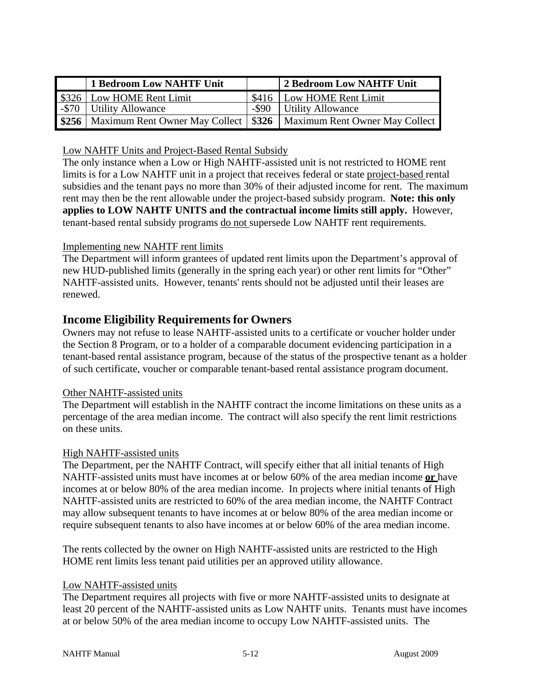| 1 Bedroom Low NAHTF Unit                                                       | 2 Bedroom Low NAHTF Unit   |
|--------------------------------------------------------------------------------|----------------------------|
| \$326   Low HOME Rent Limit                                                    | S416   Low HOME Rent Limit |
| -\$70 Utility Allowance                                                        | -\$90 Utility Allowance    |
| S256   Maximum Rent Owner May Collect   \$326   Maximum Rent Owner May Collect |                            |

Low NAHTF Units and Project-Based Rental Subsidy

The only instance when a Low or High NAHTF-assisted unit is not restricted to HOME rent limits is for a Low NAHTF unit in a project that receives federal or state project-based rental subsidies and the tenant pays no more than 30% of their adjusted income for rent. The maximum rent may then be the rent allowable under the project-based subsidy program. **Note: this only applies to LOW NAHTF UNITS and the contractual income limits still apply.** However, tenant-based rental subsidy programs do not supersede Low NAHTF rent requirements.

### Implementing new NAHTF rent limits

The Department will inform grantees of updated rent limits upon the Department's approval of new HUD-published limits (generally in the spring each year) or other rent limits for "Other" NAHTF-assisted units. However, tenants' rents should not be adjusted until their leases are renewed.

### **Income Eligibility Requirements for Owners**

Owners may not refuse to lease NAHTF-assisted units to a certificate or voucher holder under the Section 8 Program, or to a holder of a comparable document evidencing participation in a tenant-based rental assistance program, because of the status of the prospective tenant as a holder of such certificate, voucher or comparable tenant-based rental assistance program document.

### Other NAHTF-assisted units

The Department will establish in the NAHTF contract the income limitations on these units as a percentage of the area median income. The contract will also specify the rent limit restrictions on these units.

### High NAHTF-assisted units

The Department, per the NAHTF Contract, will specify either that all initial tenants of High NAHTF-assisted units must have incomes at or below 60% of the area median income **or** have incomes at or below 80% of the area median income. In projects where initial tenants of High NAHTF-assisted units are restricted to 60% of the area median income, the NAHTF Contract may allow subsequent tenants to have incomes at or below 80% of the area median income or require subsequent tenants to also have incomes at or below 60% of the area median income.

The rents collected by the owner on High NAHTF-assisted units are restricted to the High HOME rent limits less tenant paid utilities per an approved utility allowance.

#### Low NAHTF-assisted units

The Department requires all projects with five or more NAHTF-assisted units to designate at least 20 percent of the NAHTF-assisted units as Low NAHTF units. Tenants must have incomes at or below 50% of the area median income to occupy Low NAHTF-assisted units. The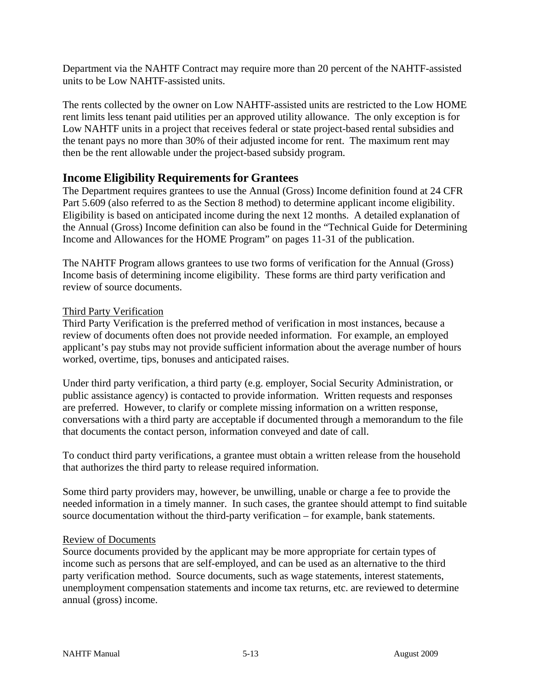Department via the NAHTF Contract may require more than 20 percent of the NAHTF-assisted units to be Low NAHTF-assisted units.

The rents collected by the owner on Low NAHTF-assisted units are restricted to the Low HOME rent limits less tenant paid utilities per an approved utility allowance. The only exception is for Low NAHTF units in a project that receives federal or state project-based rental subsidies and the tenant pays no more than 30% of their adjusted income for rent. The maximum rent may then be the rent allowable under the project-based subsidy program.

## **Income Eligibility Requirements for Grantees**

The Department requires grantees to use the Annual (Gross) Income definition found at 24 CFR Part 5.609 (also referred to as the Section 8 method) to determine applicant income eligibility. Eligibility is based on anticipated income during the next 12 months. A detailed explanation of the Annual (Gross) Income definition can also be found in the "Technical Guide for Determining Income and Allowances for the HOME Program" on pages 11-31 of the publication.

The NAHTF Program allows grantees to use two forms of verification for the Annual (Gross) Income basis of determining income eligibility. These forms are third party verification and review of source documents.

#### Third Party Verification

Third Party Verification is the preferred method of verification in most instances, because a review of documents often does not provide needed information. For example, an employed applicant's pay stubs may not provide sufficient information about the average number of hours worked, overtime, tips, bonuses and anticipated raises.

Under third party verification, a third party (e.g. employer, Social Security Administration, or public assistance agency) is contacted to provide information. Written requests and responses are preferred. However, to clarify or complete missing information on a written response, conversations with a third party are acceptable if documented through a memorandum to the file that documents the contact person, information conveyed and date of call.

To conduct third party verifications, a grantee must obtain a written release from the household that authorizes the third party to release required information.

Some third party providers may, however, be unwilling, unable or charge a fee to provide the needed information in a timely manner. In such cases, the grantee should attempt to find suitable source documentation without the third-party verification – for example, bank statements.

#### Review of Documents

Source documents provided by the applicant may be more appropriate for certain types of income such as persons that are self-employed, and can be used as an alternative to the third party verification method. Source documents, such as wage statements, interest statements, unemployment compensation statements and income tax returns, etc. are reviewed to determine annual (gross) income.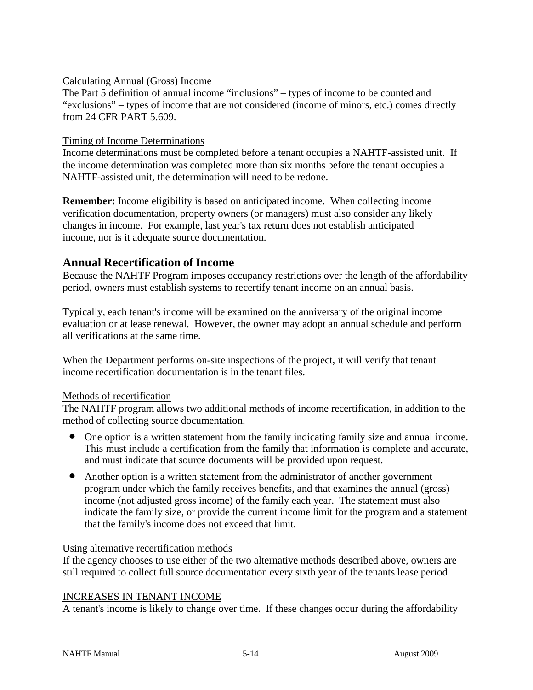#### Calculating Annual (Gross) Income

The Part 5 definition of annual income "inclusions" – types of income to be counted and "exclusions" – types of income that are not considered (income of minors, etc.) comes directly from 24 CFR PART 5.609.

#### Timing of Income Determinations

Income determinations must be completed before a tenant occupies a NAHTF-assisted unit. If the income determination was completed more than six months before the tenant occupies a NAHTF-assisted unit, the determination will need to be redone.

**Remember:** Income eligibility is based on anticipated income. When collecting income verification documentation, property owners (or managers) must also consider any likely changes in income. For example, last year's tax return does not establish anticipated income, nor is it adequate source documentation.

## **Annual Recertification of Income**

Because the NAHTF Program imposes occupancy restrictions over the length of the affordability period, owners must establish systems to recertify tenant income on an annual basis.

Typically, each tenant's income will be examined on the anniversary of the original income evaluation or at lease renewal. However, the owner may adopt an annual schedule and perform all verifications at the same time.

When the Department performs on-site inspections of the project, it will verify that tenant income recertification documentation is in the tenant files.

#### Methods of recertification

The NAHTF program allows two additional methods of income recertification, in addition to the method of collecting source documentation.

- One option is a written statement from the family indicating family size and annual income. This must include a certification from the family that information is complete and accurate, and must indicate that source documents will be provided upon request.
- Another option is a written statement from the administrator of another government program under which the family receives benefits, and that examines the annual (gross) income (not adjusted gross income) of the family each year. The statement must also indicate the family size, or provide the current income limit for the program and a statement that the family's income does not exceed that limit.

### Using alternative recertification methods

If the agency chooses to use either of the two alternative methods described above, owners are still required to collect full source documentation every sixth year of the tenants lease period

#### INCREASES IN TENANT INCOME

A tenant's income is likely to change over time. If these changes occur during the affordability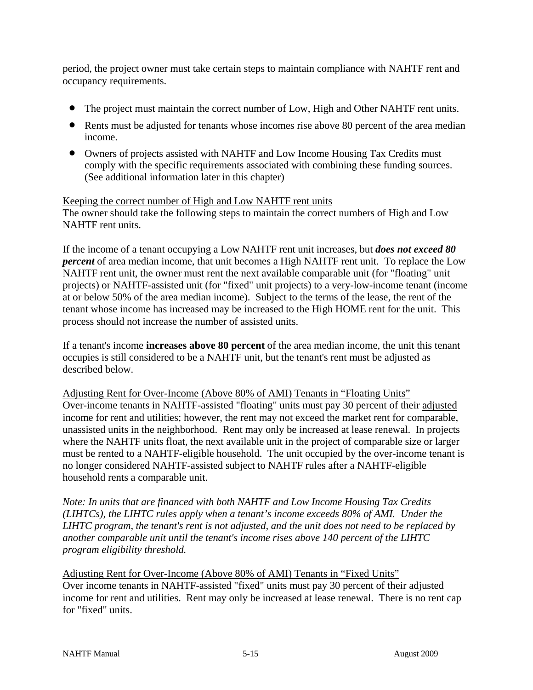period, the project owner must take certain steps to maintain compliance with NAHTF rent and occupancy requirements.

- The project must maintain the correct number of Low, High and Other NAHTF rent units.
- Rents must be adjusted for tenants whose incomes rise above 80 percent of the area median income.
- Owners of projects assisted with NAHTF and Low Income Housing Tax Credits must comply with the specific requirements associated with combining these funding sources. (See additional information later in this chapter)

## Keeping the correct number of High and Low NAHTF rent units

The owner should take the following steps to maintain the correct numbers of High and Low NAHTF rent units.

If the income of a tenant occupying a Low NAHTF rent unit increases, but *does not exceed 80 percent* of area median income, that unit becomes a High NAHTF rent unit. To replace the Low NAHTF rent unit, the owner must rent the next available comparable unit (for "floating" unit projects) or NAHTF-assisted unit (for "fixed" unit projects) to a very-low-income tenant (income at or below 50% of the area median income). Subject to the terms of the lease, the rent of the tenant whose income has increased may be increased to the High HOME rent for the unit. This process should not increase the number of assisted units.

If a tenant's income **increases above 80 percent** of the area median income, the unit this tenant occupies is still considered to be a NAHTF unit, but the tenant's rent must be adjusted as described below.

Adjusting Rent for Over-Income (Above 80% of AMI) Tenants in "Floating Units" Over-income tenants in NAHTF-assisted "floating" units must pay 30 percent of their adjusted income for rent and utilities; however, the rent may not exceed the market rent for comparable, unassisted units in the neighborhood. Rent may only be increased at lease renewal. In projects where the NAHTF units float, the next available unit in the project of comparable size or larger must be rented to a NAHTF-eligible household. The unit occupied by the over-income tenant is no longer considered NAHTF-assisted subject to NAHTF rules after a NAHTF-eligible household rents a comparable unit.

*Note: In units that are financed with both NAHTF and Low Income Housing Tax Credits (LIHTCs), the LIHTC rules apply when a tenant's income exceeds 80% of AMI. Under the LIHTC program, the tenant's rent is not adjusted, and the unit does not need to be replaced by another comparable unit until the tenant's income rises above 140 percent of the LIHTC program eligibility threshold.*

Adjusting Rent for Over-Income (Above 80% of AMI) Tenants in "Fixed Units" Over income tenants in NAHTF-assisted "fixed" units must pay 30 percent of their adjusted income for rent and utilities. Rent may only be increased at lease renewal. There is no rent cap for "fixed" units.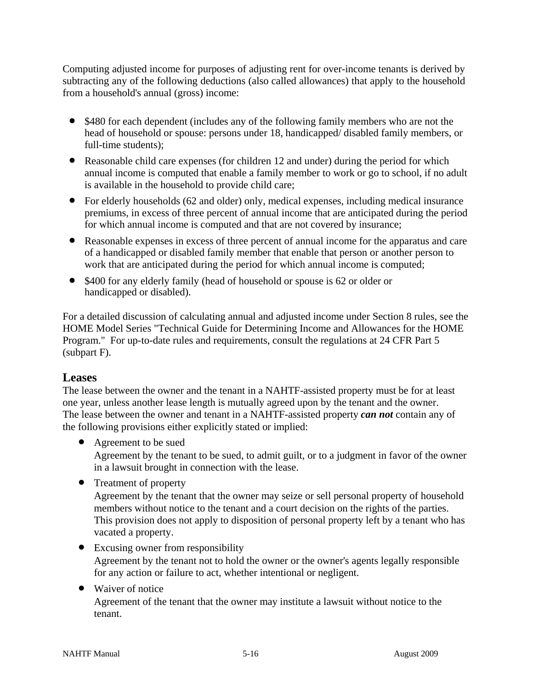Computing adjusted income for purposes of adjusting rent for over-income tenants is derived by subtracting any of the following deductions (also called allowances) that apply to the household from a household's annual (gross) income:

- \$480 for each dependent (includes any of the following family members who are not the head of household or spouse: persons under 18, handicapped/ disabled family members, or full-time students);
- Reasonable child care expenses (for children 12 and under) during the period for which annual income is computed that enable a family member to work or go to school, if no adult is available in the household to provide child care;
- For elderly households (62 and older) only, medical expenses, including medical insurance premiums, in excess of three percent of annual income that are anticipated during the period for which annual income is computed and that are not covered by insurance;
- Reasonable expenses in excess of three percent of annual income for the apparatus and care of a handicapped or disabled family member that enable that person or another person to work that are anticipated during the period for which annual income is computed;
- \$400 for any elderly family (head of household or spouse is 62 or older or handicapped or disabled).

For a detailed discussion of calculating annual and adjusted income under Section 8 rules, see the HOME Model Series "Technical Guide for Determining Income and Allowances for the HOME Program." For up-to-date rules and requirements, consult the regulations at 24 CFR Part 5 (subpart F).

### **Leases**

The lease between the owner and the tenant in a NAHTF-assisted property must be for at least one year, unless another lease length is mutually agreed upon by the tenant and the owner. The lease between the owner and tenant in a NAHTF-assisted property *can not* contain any of the following provisions either explicitly stated or implied:

• Agreement to be sued

Agreement by the tenant to be sued, to admit guilt, or to a judgment in favor of the owner in a lawsuit brought in connection with the lease.

• Treatment of property

Agreement by the tenant that the owner may seize or sell personal property of household members without notice to the tenant and a court decision on the rights of the parties. This provision does not apply to disposition of personal property left by a tenant who has vacated a property.

- Excusing owner from responsibility Agreement by the tenant not to hold the owner or the owner's agents legally responsible for any action or failure to act, whether intentional or negligent.
- Waiver of notice

Agreement of the tenant that the owner may institute a lawsuit without notice to the tenant.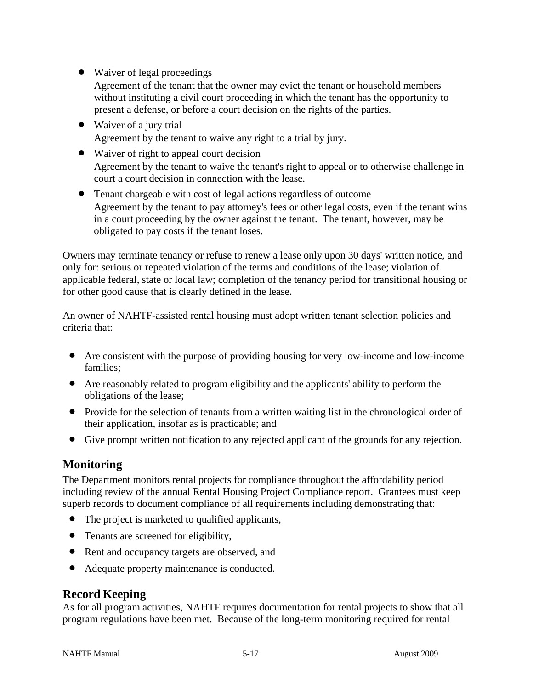• Waiver of legal proceedings

Agreement of the tenant that the owner may evict the tenant or household members without instituting a civil court proceeding in which the tenant has the opportunity to present a defense, or before a court decision on the rights of the parties.

- Waiver of a jury trial Agreement by the tenant to waive any right to a trial by jury.
- Waiver of right to appeal court decision Agreement by the tenant to waive the tenant's right to appeal or to otherwise challenge in court a court decision in connection with the lease.
- Tenant chargeable with cost of legal actions regardless of outcome Agreement by the tenant to pay attorney's fees or other legal costs, even if the tenant wins in a court proceeding by the owner against the tenant. The tenant, however, may be obligated to pay costs if the tenant loses.

Owners may terminate tenancy or refuse to renew a lease only upon 30 days' written notice, and only for: serious or repeated violation of the terms and conditions of the lease; violation of applicable federal, state or local law; completion of the tenancy period for transitional housing or for other good cause that is clearly defined in the lease.

An owner of NAHTF-assisted rental housing must adopt written tenant selection policies and criteria that:

- Are consistent with the purpose of providing housing for very low-income and low-income families;
- Are reasonably related to program eligibility and the applicants' ability to perform the obligations of the lease;
- Provide for the selection of tenants from a written waiting list in the chronological order of their application, insofar as is practicable; and
- Give prompt written notification to any rejected applicant of the grounds for any rejection.

## **Monitoring**

The Department monitors rental projects for compliance throughout the affordability period including review of the annual Rental Housing Project Compliance report. Grantees must keep superb records to document compliance of all requirements including demonstrating that:

- The project is marketed to qualified applicants,
- Tenants are screened for eligibility,
- Rent and occupancy targets are observed, and
- Adequate property maintenance is conducted.

## **Record Keeping**

As for all program activities, NAHTF requires documentation for rental projects to show that all program regulations have been met. Because of the long-term monitoring required for rental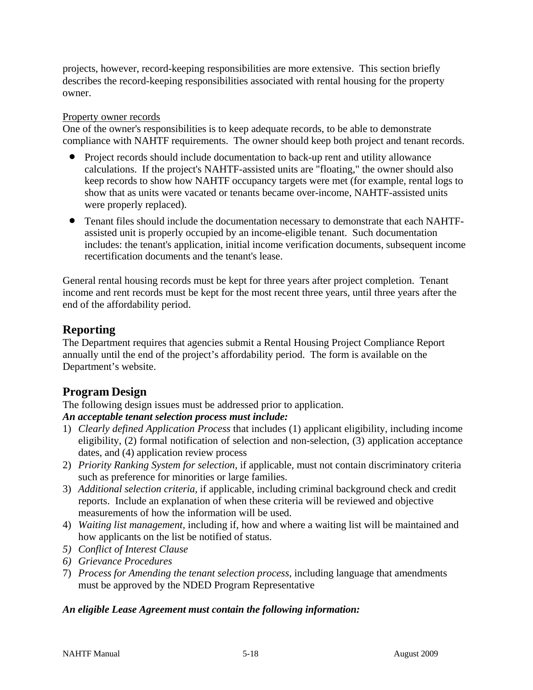projects, however, record-keeping responsibilities are more extensive. This section briefly describes the record-keeping responsibilities associated with rental housing for the property owner.

#### Property owner records

One of the owner's responsibilities is to keep adequate records, to be able to demonstrate compliance with NAHTF requirements. The owner should keep both project and tenant records.

- Project records should include documentation to back-up rent and utility allowance calculations. If the project's NAHTF-assisted units are "floating," the owner should also keep records to show how NAHTF occupancy targets were met (for example, rental logs to show that as units were vacated or tenants became over-income, NAHTF-assisted units were properly replaced).
- Tenant files should include the documentation necessary to demonstrate that each NAHTFassisted unit is properly occupied by an income-eligible tenant. Such documentation includes: the tenant's application, initial income verification documents, subsequent income recertification documents and the tenant's lease.

General rental housing records must be kept for three years after project completion. Tenant income and rent records must be kept for the most recent three years, until three years after the end of the affordability period.

## **Reporting**

The Department requires that agencies submit a Rental Housing Project Compliance Report annually until the end of the project's affordability period. The form is available on the Department's website.

## **Program Design**

The following design issues must be addressed prior to application.

### *An acceptable tenant selection process must include:*

- 1) *Clearly defined Application Process* that includes (1) applicant eligibility, including income eligibility, (2) formal notification of selection and non-selection, (3) application acceptance dates, and (4) application review process
- 2) *Priority Ranking System for selection,* if applicable*,* must not contain discriminatory criteria such as preference for minorities or large families.
- 3) *Additional selection criteria,* if applicable, including criminal background check and credit reports. Include an explanation of when these criteria will be reviewed and objective measurements of how the information will be used.
- 4) *Waiting list management,* including if, how and where a waiting list will be maintained and how applicants on the list be notified of status.
- *5) Conflict of Interest Clause*
- *6) Grievance Procedures*
- 7) *Process for Amending the tenant selection process*, including language that amendments must be approved by the NDED Program Representative

### *An eligible Lease Agreement must contain the following information:*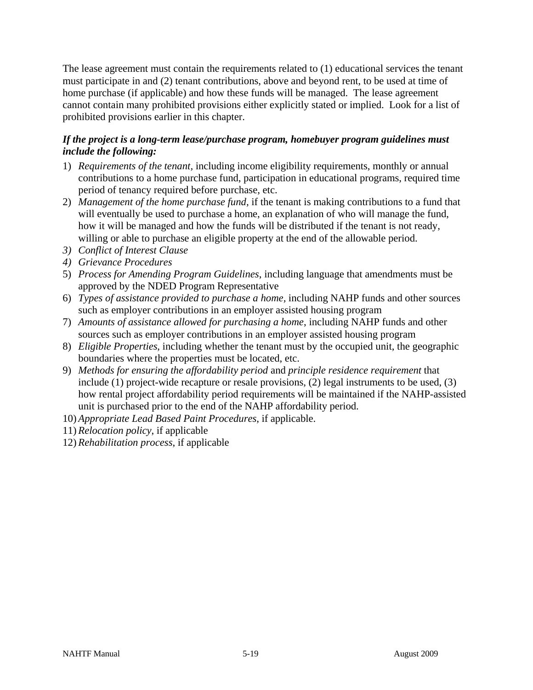The lease agreement must contain the requirements related to (1) educational services the tenant must participate in and (2) tenant contributions, above and beyond rent, to be used at time of home purchase (if applicable) and how these funds will be managed. The lease agreement cannot contain many prohibited provisions either explicitly stated or implied. Look for a list of prohibited provisions earlier in this chapter.

### *If the project is a long-term lease/purchase program, homebuyer program guidelines must include the following:*

- 1) *Requirements of the tenant,* including income eligibility requirements, monthly or annual contributions to a home purchase fund, participation in educational programs, required time period of tenancy required before purchase, etc.
- 2) *Management of the home purchase fund,* if the tenant is making contributions to a fund that will eventually be used to purchase a home, an explanation of who will manage the fund, how it will be managed and how the funds will be distributed if the tenant is not ready, willing or able to purchase an eligible property at the end of the allowable period.
- *3) Conflict of Interest Clause*
- *4) Grievance Procedures*
- 5) *Process for Amending Program Guidelines*, including language that amendments must be approved by the NDED Program Representative
- 6) *Types of assistance provided to purchase a home,* including NAHP funds and other sources such as employer contributions in an employer assisted housing program
- 7) *Amounts of assistance allowed for purchasing a home*, including NAHP funds and other sources such as employer contributions in an employer assisted housing program
- 8) *Eligible Properties*, including whether the tenant must by the occupied unit, the geographic boundaries where the properties must be located, etc.
- 9) *Methods for ensuring the affordability period* and *principle residence requirement* that include (1) project-wide recapture or resale provisions, (2) legal instruments to be used, (3) how rental project affordability period requirements will be maintained if the NAHP-assisted unit is purchased prior to the end of the NAHP affordability period.
- 10) *Appropriate Lead Based Paint Procedures*, if applicable.
- 11) *Relocation policy*, if applicable
- 12) *Rehabilitation process*, if applicable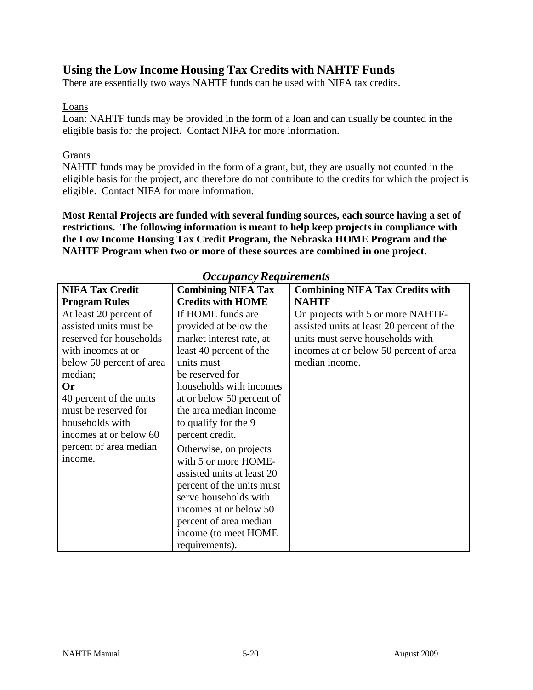## **Using the Low Income Housing Tax Credits with NAHTF Funds**

There are essentially two ways NAHTF funds can be used with NIFA tax credits.

#### Loans

Loan: NAHTF funds may be provided in the form of a loan and can usually be counted in the eligible basis for the project. Contact NIFA for more information.

### **Grants**

NAHTF funds may be provided in the form of a grant, but, they are usually not counted in the eligible basis for the project, and therefore do not contribute to the credits for which the project is eligible. Contact NIFA for more information.

**Most Rental Projects are funded with several funding sources, each source having a set of restrictions. The following information is meant to help keep projects in compliance with the Low Income Housing Tax Credit Program, the Nebraska HOME Program and the NAHTF Program when two or more of these sources are combined in one project.**

| <b>NIFA Tax Credit</b>   | $\sim$ $\sim$ $\sim$ $\sim$ $\sim$ $\sim$ $\sim$ $\sim$<br><b>Combining NIFA Tax</b> | <b>Combining NIFA Tax Credits with</b>    |
|--------------------------|--------------------------------------------------------------------------------------|-------------------------------------------|
| <b>Program Rules</b>     | <b>Credits with HOME</b>                                                             | <b>NAHTF</b>                              |
| At least 20 percent of   | If HOME funds are                                                                    | On projects with 5 or more NAHTF-         |
| assisted units must be   | provided at below the                                                                | assisted units at least 20 percent of the |
| reserved for households  | market interest rate, at                                                             | units must serve households with          |
| with incomes at or       | least 40 percent of the                                                              | incomes at or below 50 percent of area    |
| below 50 percent of area | units must                                                                           | median income.                            |
| median;                  | be reserved for                                                                      |                                           |
| 0r                       | households with incomes                                                              |                                           |
| 40 percent of the units  | at or below 50 percent of                                                            |                                           |
| must be reserved for     | the area median income                                                               |                                           |
| households with          | to qualify for the 9                                                                 |                                           |
| incomes at or below 60   | percent credit.                                                                      |                                           |
| percent of area median   | Otherwise, on projects                                                               |                                           |
| income.                  | with 5 or more HOME-                                                                 |                                           |
|                          | assisted units at least 20                                                           |                                           |
|                          | percent of the units must                                                            |                                           |
|                          | serve households with                                                                |                                           |
|                          | incomes at or below 50                                                               |                                           |
|                          | percent of area median                                                               |                                           |
|                          | income (to meet HOME)                                                                |                                           |
|                          | requirements).                                                                       |                                           |

### *Occupancy Requirements*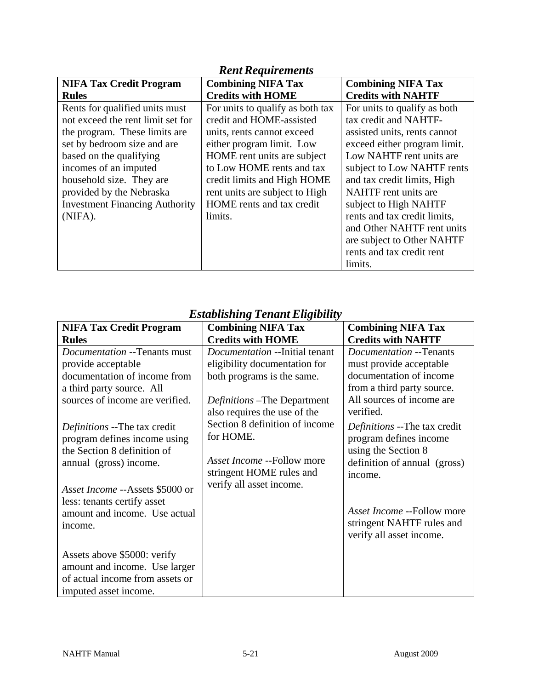| <b>Rent Requirements</b>                                                                                                                                                                                                                                                                            |                                                                                                                                                                                                                                                                                              |                                                                                                                                                                                                                                                                                                                                                             |  |
|-----------------------------------------------------------------------------------------------------------------------------------------------------------------------------------------------------------------------------------------------------------------------------------------------------|----------------------------------------------------------------------------------------------------------------------------------------------------------------------------------------------------------------------------------------------------------------------------------------------|-------------------------------------------------------------------------------------------------------------------------------------------------------------------------------------------------------------------------------------------------------------------------------------------------------------------------------------------------------------|--|
| <b>NIFA Tax Credit Program</b>                                                                                                                                                                                                                                                                      | <b>Combining NIFA Tax</b>                                                                                                                                                                                                                                                                    | <b>Combining NIFA Tax</b>                                                                                                                                                                                                                                                                                                                                   |  |
| <b>Rules</b>                                                                                                                                                                                                                                                                                        | <b>Credits with HOME</b>                                                                                                                                                                                                                                                                     | <b>Credits with NAHTF</b>                                                                                                                                                                                                                                                                                                                                   |  |
| Rents for qualified units must<br>not exceed the rent limit set for<br>the program. These limits are<br>set by bedroom size and are<br>based on the qualifying<br>incomes of an imputed<br>household size. They are<br>provided by the Nebraska<br><b>Investment Financing Authority</b><br>(NIFA). | For units to qualify as both tax<br>credit and HOME-assisted<br>units, rents cannot exceed<br>either program limit. Low<br>HOME rent units are subject<br>to Low HOME rents and tax<br>credit limits and High HOME<br>rent units are subject to High<br>HOME rents and tax credit<br>limits. | For units to qualify as both<br>tax credit and NAHTF-<br>assisted units, rents cannot<br>exceed either program limit.<br>Low NAHTF rent units are<br>subject to Low NAHTF rents<br>and tax credit limits, High<br>NAHTF rent units are<br>subject to High NAHTF<br>rents and tax credit limits,<br>and Other NAHTF rent units<br>are subject to Other NAHTF |  |
|                                                                                                                                                                                                                                                                                                     |                                                                                                                                                                                                                                                                                              | rents and tax credit rent<br>limits.                                                                                                                                                                                                                                                                                                                        |  |

| <b>NIFA Tax Credit Program</b>         | <b>Combining NIFA Tax</b>             | <b>Combining NIFA Tax</b>           |
|----------------------------------------|---------------------------------------|-------------------------------------|
| <b>Rules</b>                           | <b>Credits with HOME</b>              | <b>Credits with NAHTF</b>           |
| Documentation --Tenants must           | <i>Documentation</i> --Initial tenant | Documentation --Tenants             |
| provide acceptable                     | eligibility documentation for         | must provide acceptable             |
| documentation of income from           | both programs is the same.            | documentation of income             |
| a third party source. All              |                                       | from a third party source.          |
| sources of income are verified.        | <i>Definitions</i> –The Department    | All sources of income are           |
|                                        | also requires the use of the          | verified.                           |
| <i>Definitions</i> --The tax credit    | Section 8 definition of income        | <i>Definitions</i> --The tax credit |
| program defines income using           | for HOME.                             | program defines income              |
| the Section 8 definition of            |                                       | using the Section 8                 |
| annual (gross) income.                 | Asset Income --Follow more            | definition of annual (gross)        |
|                                        | stringent HOME rules and              | income.                             |
| <i>Asset Income --Assets \$5000 or</i> | verify all asset income.              |                                     |
| less: tenants certify asset            |                                       |                                     |
| amount and income. Use actual          |                                       | Asset Income --Follow more          |
| income.                                |                                       | stringent NAHTF rules and           |
|                                        |                                       | verify all asset income.            |
| Assets above \$5000: verify            |                                       |                                     |
| amount and income. Use larger          |                                       |                                     |
| of actual income from assets or        |                                       |                                     |
| imputed asset income.                  |                                       |                                     |

# *Establishing Tenant Eligibility*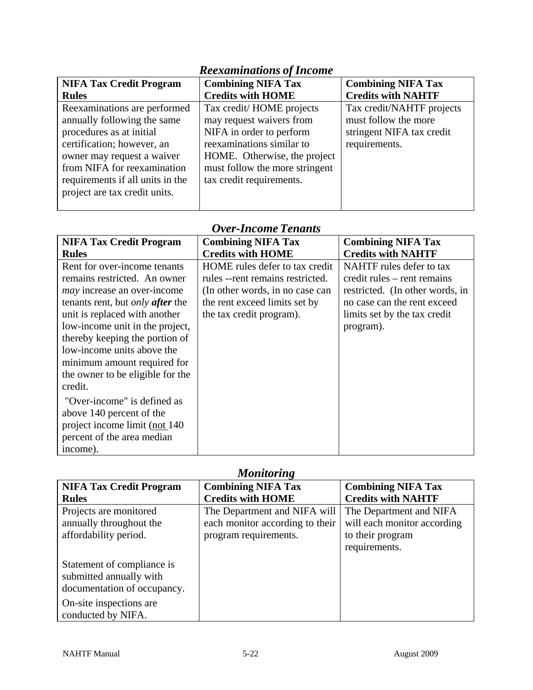| <b>NIFA Tax Credit Program</b>   | <b>Combining NIFA Tax</b>      | <b>Combining NIFA Tax</b> |  |  |
|----------------------------------|--------------------------------|---------------------------|--|--|
| <b>Rules</b>                     | <b>Credits with HOME</b>       | <b>Credits with NAHTF</b> |  |  |
| Reexaminations are performed     | Tax credit/HOME projects       | Tax credit/NAHTF projects |  |  |
| annually following the same      | may request waivers from       | must follow the more      |  |  |
| procedures as at initial         | NIFA in order to perform       | stringent NIFA tax credit |  |  |
| certification; however, an       | reexaminations similar to      | requirements.             |  |  |
| owner may request a waiver       | HOME. Otherwise, the project   |                           |  |  |
| from NIFA for reexamination      | must follow the more stringent |                           |  |  |
| requirements if all units in the | tax credit requirements.       |                           |  |  |
| project are tax credit units.    |                                |                           |  |  |
|                                  |                                |                           |  |  |

## *Reexaminations of Income*

# *Over-Income Tenants*

| <b>NIFA Tax Credit Program</b>                 | <b>Combining NIFA Tax</b>         | <b>Combining NIFA Tax</b>       |
|------------------------------------------------|-----------------------------------|---------------------------------|
| <b>Rules</b>                                   | <b>Credits with HOME</b>          | <b>Credits with NAHTF</b>       |
| Rent for over-income tenants                   | HOME rules defer to tax credit    | NAHTF rules defer to tax        |
| remains restricted. An owner                   | rules -- rent remains restricted. | credit rules – rent remains     |
| <i>may</i> increase an over-income             | (In other words, in no case can   | restricted. (In other words, in |
| tenants rent, but <i>only <b>after</b></i> the | the rent exceed limits set by     | no case can the rent exceed     |
| unit is replaced with another                  | the tax credit program).          | limits set by the tax credit    |
| low-income unit in the project,                |                                   | program).                       |
| thereby keeping the portion of                 |                                   |                                 |
| low-income units above the                     |                                   |                                 |
| minimum amount required for                    |                                   |                                 |
| the owner to be eligible for the               |                                   |                                 |
| credit.                                        |                                   |                                 |
| "Over-income" is defined as                    |                                   |                                 |
| above 140 percent of the                       |                                   |                                 |
| project income limit (not 140)                 |                                   |                                 |
| percent of the area median                     |                                   |                                 |
| income).                                       |                                   |                                 |

## *Monitoring*

| *************                                                                        |                                                                 |                                                        |  |
|--------------------------------------------------------------------------------------|-----------------------------------------------------------------|--------------------------------------------------------|--|
| <b>NIFA Tax Credit Program</b>                                                       | <b>Combining NIFA Tax</b>                                       | <b>Combining NIFA Tax</b>                              |  |
| <b>Rules</b>                                                                         | <b>Credits with HOME</b>                                        | <b>Credits with NAHTF</b>                              |  |
| Projects are monitored<br>annually throughout the                                    | The Department and NIFA will<br>each monitor according to their | The Department and NIFA<br>will each monitor according |  |
| affordability period.                                                                | program requirements.                                           | to their program<br>requirements.                      |  |
| Statement of compliance is<br>submitted annually with<br>documentation of occupancy. |                                                                 |                                                        |  |
| On-site inspections are<br>conducted by NIFA.                                        |                                                                 |                                                        |  |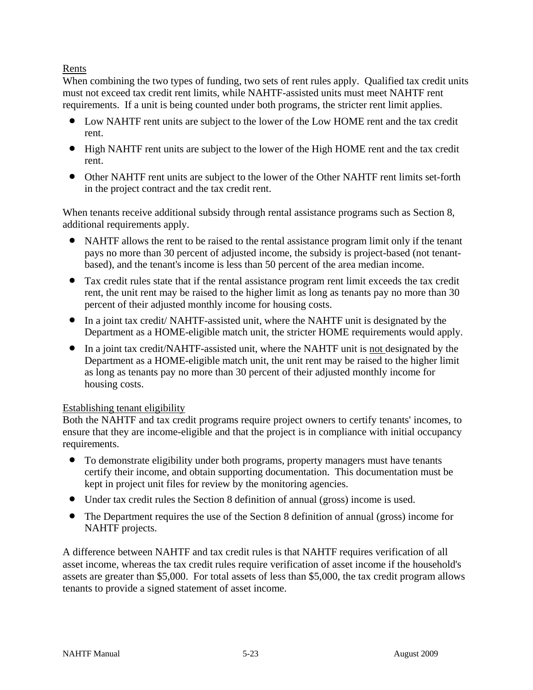### Rents

When combining the two types of funding, two sets of rent rules apply. Qualified tax credit units must not exceed tax credit rent limits, while NAHTF-assisted units must meet NAHTF rent requirements. If a unit is being counted under both programs, the stricter rent limit applies.

- Low NAHTF rent units are subject to the lower of the Low HOME rent and the tax credit rent.
- High NAHTF rent units are subject to the lower of the High HOME rent and the tax credit rent.
- Other NAHTF rent units are subject to the lower of the Other NAHTF rent limits set-forth in the project contract and the tax credit rent.

When tenants receive additional subsidy through rental assistance programs such as Section 8, additional requirements apply.

- NAHTF allows the rent to be raised to the rental assistance program limit only if the tenant pays no more than 30 percent of adjusted income, the subsidy is project-based (not tenantbased), and the tenant's income is less than 50 percent of the area median income.
- Tax credit rules state that if the rental assistance program rent limit exceeds the tax credit rent, the unit rent may be raised to the higher limit as long as tenants pay no more than 30 percent of their adjusted monthly income for housing costs.
- In a joint tax credit/ NAHTF-assisted unit, where the NAHTF unit is designated by the Department as a HOME-eligible match unit, the stricter HOME requirements would apply.
- In a joint tax credit/NAHTF-assisted unit, where the NAHTF unit is not designated by the Department as a HOME-eligible match unit, the unit rent may be raised to the higher limit as long as tenants pay no more than 30 percent of their adjusted monthly income for housing costs.

### Establishing tenant eligibility

Both the NAHTF and tax credit programs require project owners to certify tenants' incomes, to ensure that they are income-eligible and that the project is in compliance with initial occupancy requirements.

- To demonstrate eligibility under both programs, property managers must have tenants certify their income, and obtain supporting documentation. This documentation must be kept in project unit files for review by the monitoring agencies.
- Under tax credit rules the Section 8 definition of annual (gross) income is used.
- The Department requires the use of the Section 8 definition of annual (gross) income for NAHTF projects.

A difference between NAHTF and tax credit rules is that NAHTF requires verification of all asset income, whereas the tax credit rules require verification of asset income if the household's assets are greater than \$5,000. For total assets of less than \$5,000, the tax credit program allows tenants to provide a signed statement of asset income.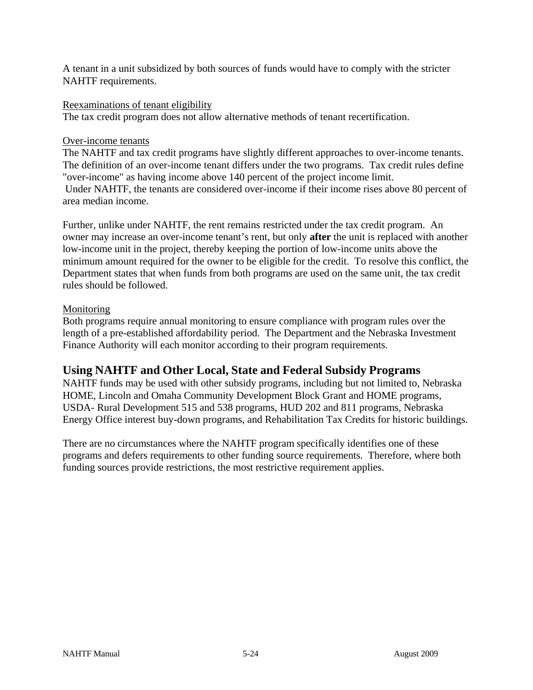A tenant in a unit subsidized by both sources of funds would have to comply with the stricter NAHTF requirements.

#### Reexaminations of tenant eligibility

The tax credit program does not allow alternative methods of tenant recertification.

#### Over-income tenants

The NAHTF and tax credit programs have slightly different approaches to over-income tenants. The definition of an over-income tenant differs under the two programs. Tax credit rules define "over-income" as having income above 140 percent of the project income limit. Under NAHTF, the tenants are considered over-income if their income rises above 80 percent of area median income.

Further, unlike under NAHTF, the rent remains restricted under the tax credit program. An owner may increase an over-income tenant's rent, but only **after** the unit is replaced with another low-income unit in the project, thereby keeping the portion of low-income units above the minimum amount required for the owner to be eligible for the credit. To resolve this conflict, the Department states that when funds from both programs are used on the same unit, the tax credit rules should be followed.

#### Monitoring

Both programs require annual monitoring to ensure compliance with program rules over the length of a pre-established affordability period. The Department and the Nebraska Investment Finance Authority will each monitor according to their program requirements.

### **Using NAHTF and Other Local, State and Federal Subsidy Programs**

NAHTF funds may be used with other subsidy programs, including but not limited to, Nebraska HOME, Lincoln and Omaha Community Development Block Grant and HOME programs, USDA- Rural Development 515 and 538 programs, HUD 202 and 811 programs, Nebraska Energy Office interest buy-down programs, and Rehabilitation Tax Credits for historic buildings.

There are no circumstances where the NAHTF program specifically identifies one of these programs and defers requirements to other funding source requirements. Therefore, where both funding sources provide restrictions, the most restrictive requirement applies.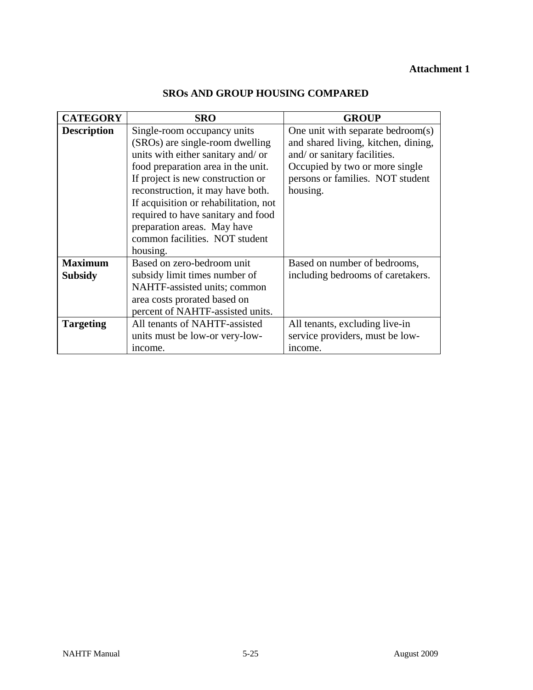## **Attachment 1**

| <b>CATEGORY</b>    | <b>SRO</b>                            | <b>GROUP</b>                        |
|--------------------|---------------------------------------|-------------------------------------|
| <b>Description</b> | Single-room occupancy units           | One unit with separate bedroom(s)   |
|                    | (SROs) are single-room dwelling       | and shared living, kitchen, dining, |
|                    | units with either sanitary and/or     | and/ or sanitary facilities.        |
|                    | food preparation area in the unit.    | Occupied by two or more single      |
|                    | If project is new construction or     | persons or families. NOT student    |
|                    | reconstruction, it may have both.     | housing.                            |
|                    | If acquisition or rehabilitation, not |                                     |
|                    | required to have sanitary and food    |                                     |
|                    | preparation areas. May have           |                                     |
|                    | common facilities. NOT student        |                                     |
|                    | housing.                              |                                     |
| <b>Maximum</b>     | Based on zero-bedroom unit            | Based on number of bedrooms,        |
| <b>Subsidy</b>     | subsidy limit times number of         | including bedrooms of caretakers.   |
|                    | NAHTF-assisted units; common          |                                     |
|                    | area costs prorated based on          |                                     |
|                    | percent of NAHTF-assisted units.      |                                     |
| <b>Targeting</b>   | All tenants of NAHTF-assisted         | All tenants, excluding live-in      |
|                    | units must be low-or very-low-        | service providers, must be low-     |
|                    | income.                               | income.                             |

## **SROs AND GROUP HOUSING COMPARED**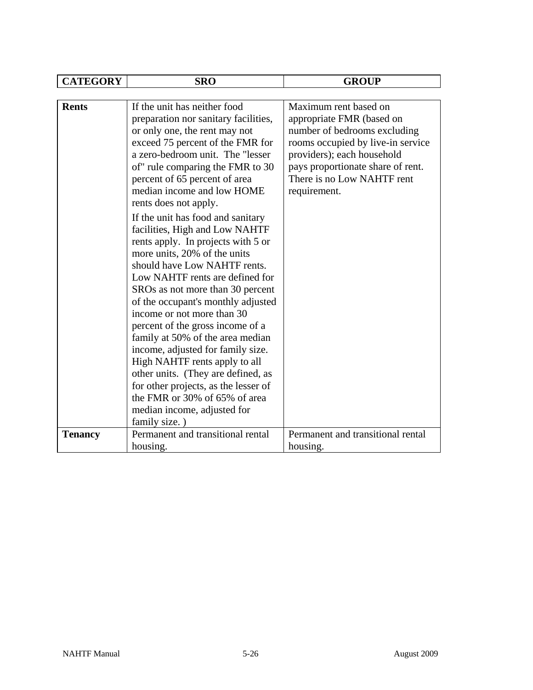| <b>CATEGORY</b> | <b>SRO</b>                                                                                                                                                                                                                                                                                                                                                                                                                                                                                                                                                                                                                                                                                                                                                                                                                                                                                                                    | <b>GROUP</b>                                                                                                                                                                                                                             |
|-----------------|-------------------------------------------------------------------------------------------------------------------------------------------------------------------------------------------------------------------------------------------------------------------------------------------------------------------------------------------------------------------------------------------------------------------------------------------------------------------------------------------------------------------------------------------------------------------------------------------------------------------------------------------------------------------------------------------------------------------------------------------------------------------------------------------------------------------------------------------------------------------------------------------------------------------------------|------------------------------------------------------------------------------------------------------------------------------------------------------------------------------------------------------------------------------------------|
|                 |                                                                                                                                                                                                                                                                                                                                                                                                                                                                                                                                                                                                                                                                                                                                                                                                                                                                                                                               |                                                                                                                                                                                                                                          |
| <b>Rents</b>    | If the unit has neither food<br>preparation nor sanitary facilities,<br>or only one, the rent may not<br>exceed 75 percent of the FMR for<br>a zero-bedroom unit. The "lesser<br>of" rule comparing the FMR to 30<br>percent of 65 percent of area<br>median income and low HOME<br>rents does not apply.<br>If the unit has food and sanitary<br>facilities, High and Low NAHTF<br>rents apply. In projects with 5 or<br>more units, 20% of the units<br>should have Low NAHTF rents.<br>Low NAHTF rents are defined for<br>SROs as not more than 30 percent<br>of the occupant's monthly adjusted<br>income or not more than 30<br>percent of the gross income of a<br>family at 50% of the area median<br>income, adjusted for family size.<br>High NAHTF rents apply to all<br>other units. (They are defined, as<br>for other projects, as the lesser of<br>the FMR or 30% of 65% of area<br>median income, adjusted for | Maximum rent based on<br>appropriate FMR (based on<br>number of bedrooms excluding<br>rooms occupied by live-in service<br>providers); each household<br>pays proportionate share of rent.<br>There is no Low NAHTF rent<br>requirement. |
|                 | family size.)<br>Permanent and transitional rental                                                                                                                                                                                                                                                                                                                                                                                                                                                                                                                                                                                                                                                                                                                                                                                                                                                                            |                                                                                                                                                                                                                                          |
| <b>Tenancy</b>  |                                                                                                                                                                                                                                                                                                                                                                                                                                                                                                                                                                                                                                                                                                                                                                                                                                                                                                                               | Permanent and transitional rental                                                                                                                                                                                                        |
|                 | housing.                                                                                                                                                                                                                                                                                                                                                                                                                                                                                                                                                                                                                                                                                                                                                                                                                                                                                                                      | housing.                                                                                                                                                                                                                                 |